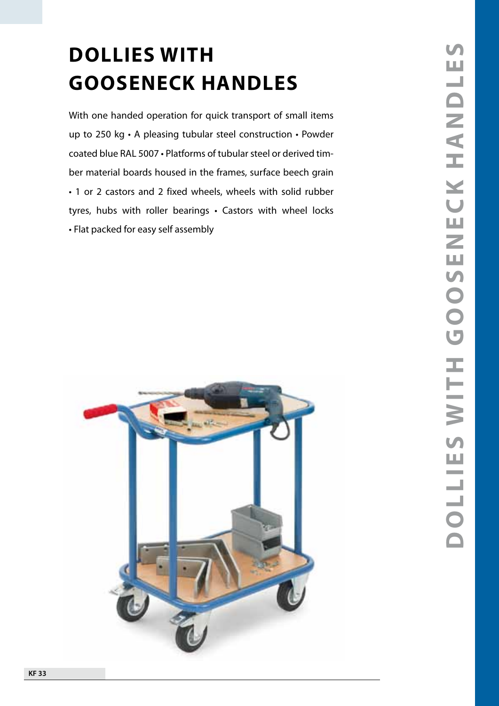# **GOOSENECK HANDLES**

With one handed operation for quick transport of small items up to 250 kg • A pleasing tubular steel construction • Powder coated blue RAL 5007 · Platforms of tubular steel or derived timber material boards housed in the frames, surface beech grain • 1 or 2 castors and 2 fixed wheels, wheels with solid rubber tyres, hubs with roller bearings • Castors with wheel locks **GOOSENECK H**<br>With one handed operation for qu<br>up to 250 kg  $\cdot$  A pleasing tubular<br>coated blue RAL 5007  $\cdot$  Platforms of<br>ber material boards housed in the<br> $\cdot$  1 or 2 castors and 2 fixed whee<br>tyres, hubs with roller bear

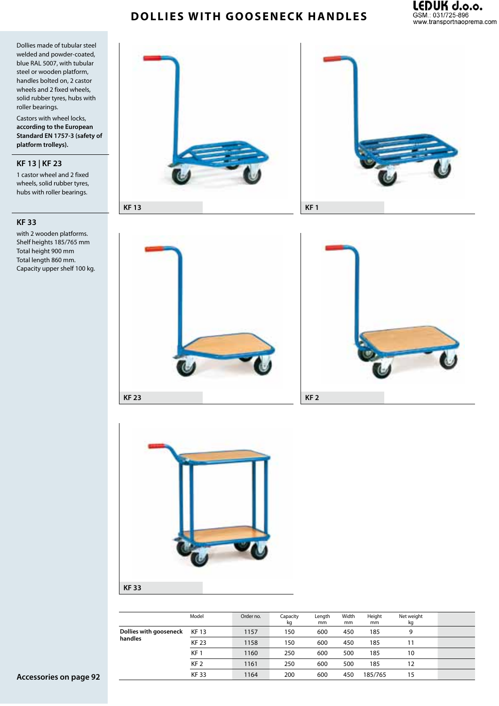# **Dollies with gooseneck handles**



Dollies made of tubular steel welded and powder-coated, blue RAL 5007, with tubular steel or wooden platform, handles bolted on, 2 castor wheels and 2 fixed wheels, solid rubber tyres, hubs with roller bearings.

Castors with wheel locks, **according to the European Standard EN 1757-3 (safety of platform trolleys).**

#### **KF 13 | KF 23**

1 castor wheel and 2 fixed wheels, solid rubber tyres, hubs with roller bearings.

#### **KF 33**

with 2 wooden platforms. Shelf heights 185/765 mm Total height 900 mm Total length 860 mm. Capacity upper shelf 100 kg.











|                        | Model           | Order no. | Capacity<br>kg | Length<br>mm | Width<br>mm | Height<br>mm | Net weight<br>kg |  |
|------------------------|-----------------|-----------|----------------|--------------|-------------|--------------|------------------|--|
| Dollies with gooseneck | <b>KF13</b>     | 1157      | 150            | 600          | 450         | 185          | 9                |  |
| handles                | <b>KF 23</b>    | 1158      | 150            | 600          | 450         | 185          | 11               |  |
|                        | KF <sub>1</sub> | 1160      | 250            | 600          | 500         | 185          | 10               |  |
|                        | KF <sub>2</sub> | 1161      | 250            | 600          | 500         | 185          | 12               |  |
|                        | <b>KF33</b>     | 1164      | 200            | 600          | 450         | 185/765      | 15               |  |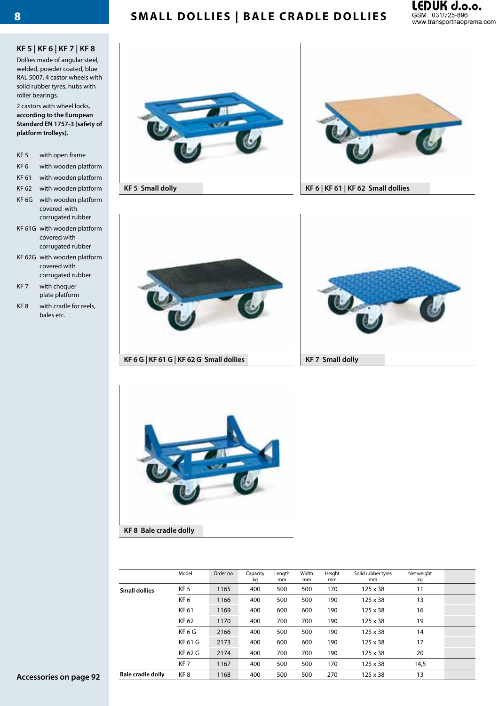# **Small Dollies | Bale cradle dollies**



#### **KF 5 | KF 6 | KF 7 | KF 8**

Dollies made of angular steel, welded, powder coated, blue RAL 5007, 4 castor wheels with solid rubber tyres, hubs with roller bearings.

2 castors with wheel locks, **according to the European Standard EN 1757-3 (safety of platform trolleys).**

- KF 5 with open frame KF 6 with wooden platform KF 61 with wooden platform KF 62 with wooden platform KF 6G with wooden platform covered with corrugated rubber KF 61G with wooden platform covered with
- corrugated rubber KF 62G with wooden platform covered with corrugated rubber
- KF 7 with chequer plate platform
- KF 8 with cradle for reels, bales etc.





**KF 5 Small dolly KF 6 | KF 61 | KF 62 Small dollies**







**KF 8 Bale cradle dolly**

|                          | Model             | Order no. | Capacity<br>kg | Length<br>mm | Width<br>mm | Height<br>mm | Solid rubber tyres<br>mm | Net weight<br>kg |  |
|--------------------------|-------------------|-----------|----------------|--------------|-------------|--------------|--------------------------|------------------|--|
| <b>Small dollies</b>     | KF <sub>5</sub>   | 1165      | 400            | 500          | 500         | 170          | $125 \times 38$          | 11               |  |
|                          | KF <sub>6</sub>   | 1166      | 400            | 500          | 500         | 190          | $125 \times 38$          | 13               |  |
|                          | KF 61             | 1169      | 400            | 600          | 600         | 190          | $125 \times 38$          | 16               |  |
|                          | KF 62             | 1170      | 400            | 700          | 700         | 190          | $125 \times 38$          | 19               |  |
|                          | KF <sub>6</sub> G | 2166      | 400            | 500          | 500         | 190          | $125 \times 38$          | 14               |  |
|                          | <b>KF 61 G</b>    | 2173      | 400            | 600          | 600         | 190          | $125 \times 38$          | 17               |  |
|                          | KF 62 G           | 2174      | 400            | 700          | 700         | 190          | $125 \times 38$          | 20               |  |
|                          | KF <sub>7</sub>   | 1167      | 400            | 500          | 500         | 170          | $125 \times 38$          | 14,5             |  |
| <b>Bale cradle dolly</b> | KF <sub>8</sub>   | 1168      | 400            | 500          | 500         | 270          | $125 \times 38$          | 13               |  |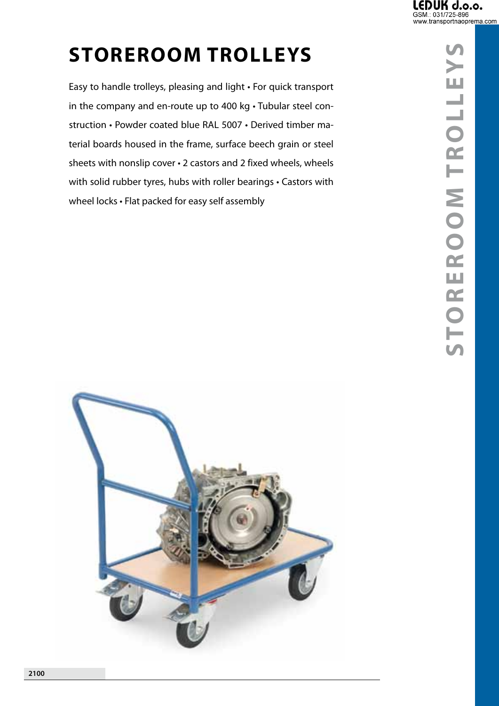**y**

**s**

# **Storeroom trolle ys**

Easy to handle trolleys, pleasing and light • For quick transport in the company and en-route up to 400 kg • Tubular steel construction • Powder coated blue RAL 5007 • Derived timber material boards housed in the frame, surface beech grain or steel sheets with nonslip cover • 2 castors and 2 fixed wheels, wheels with solid rubber tyres, hubs with roller bearings • Castors with wheel locks • Flat packed for easy self assembly



**S**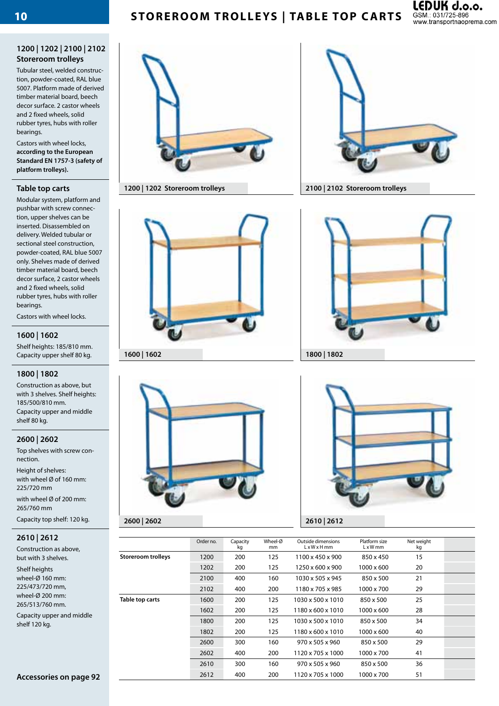# **Storeroom trolle ys | table top carts**



#### **1200 | 1202 | 2100 | 2102 Storeroom trolleys**

Tubular steel, welded construction, powder-coated, RAL blue 5007. Platform made of derived timber material board, beech decor surface. 2 castor wheels and 2 fixed wheels, solid rubber tyres, hubs with roller bearings.

Castors with wheel locks, **according to the European Standard EN 1757-3 (safety of platform trolleys).**

#### **Table top carts**

Modular system, platform and pushbar with screw connection, upper shelves can be inserted. Disassembled on delivery. Welded tubular or sectional steel construction, powder-coated, RAL blue 5007 only. Shelves made of derived timber material board, beech decor surface, 2 castor wheels and 2 fixed wheels, solid rubber tyres, hubs with roller bearings.

Castors with wheel locks.

#### **1600 | 1602**

Shelf heights: 185/810 mm. Capacity upper shelf 80 kg.

#### **1800 | 1802**

Construction as above, but with 3 shelves. Shelf heights: 185/500/810 mm. Capacity upper and middle shelf 80 kg.

#### **2600 | 2602**

Top shelves with screw connection.

Height of shelves: with wheel Ø of 160 mm: 225/720 mm

with wheel Ø of 200 mm: 265/760 mm

Capacity top shelf: 120 kg.

#### **2610 | 2612**

Construction as above, but with 3 shelves.

Shelf heights wheel-Ø 160 mm: 225/473/720 mm, wheel-Ø 200 mm: 265/513/760 mm.

Capacity upper and middle shelf 120 kg.







**1200 | 1202 Storeroom trolleys 2100 | 2102 Storeroom trolleys**





|                           | Order no. | Capacity<br>kg | Wheel-Ø<br>mm | Outside dimensions<br>$L \times W \times H$ mm | Platform size<br>$L \times W$ mm | Net weight<br>kg |  |
|---------------------------|-----------|----------------|---------------|------------------------------------------------|----------------------------------|------------------|--|
| <b>Storeroom trolleys</b> | 1200      | 200            | 125           | 1100 x 450 x 900                               | 850 x 450                        | 15               |  |
|                           | 1202      | 200            | 125           | 1250 x 600 x 900                               | 1000 x 600                       | 20               |  |
|                           | 2100      | 400            | 160           | 1030 x 505 x 945                               | 850 x 500                        | 21               |  |
|                           | 2102      | 400            | 200           | 1180 x 705 x 985                               | 1000 x 700                       | 29               |  |
| Table top carts           | 1600      | 200            | 125           | 1030 x 500 x 1010                              | 850 x 500                        | 25               |  |
|                           | 1602      | 200            | 125           | 1180 x 600 x 1010                              | 1000 x 600                       | 28               |  |
|                           | 1800      | 200            | 125           | 1030 x 500 x 1010                              | 850 x 500                        | 34               |  |
|                           | 1802      | 200            | 125           | 1180 x 600 x 1010                              | 1000 x 600                       | 40               |  |
|                           | 2600      | 300            | 160           | 970 x 505 x 960                                | 850 x 500                        | 29               |  |
|                           | 2602      | 400            | 200           | 1120 x 705 x 1000                              | 1000 x 700                       | 41               |  |
|                           | 2610      | 300            | 160           | $970 \times 505 \times 960$                    | 850 x 500                        | 36               |  |
|                           | 2612      | 400            | 200           | 1120 x 705 x 1000                              | 1000 x 700                       | 51               |  |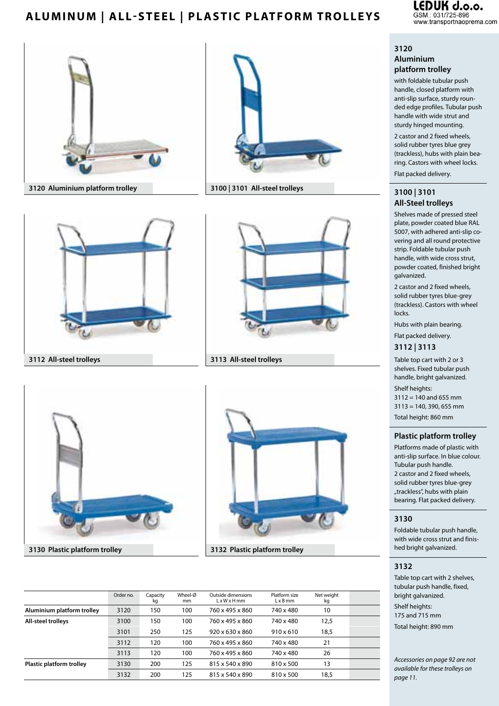# **ALUMINUM** | ALL-STEEL | PLASTIC PLATFORM TROLLEYS **105M.:** 031/725-896 **11/725-896 120** WWW.transportnacoprema.com













|                            | Order no. | Capacity<br>kg | Wheel-Ø<br>mm | Outside dimensions<br>$L \times W \times H$ mm | Platform size<br>$L \times B$ mm | Net weight<br>kg |  |
|----------------------------|-----------|----------------|---------------|------------------------------------------------|----------------------------------|------------------|--|
| Aluminium platform trolley | 3120      | 150            | 100           | 760 x 495 x 860                                | 740 x 480                        | 10               |  |
| <b>All-steel trolleys</b>  | 3100      | 150            | 100           | 760 x 495 x 860                                | 740 x 480                        | 12,5             |  |
|                            | 3101      | 250            | 125           | $920 \times 630 \times 860$                    | $910 \times 610$                 | 18,5             |  |
|                            | 3112      | 120            | 100           | 760 x 495 x 860                                | 740 x 480                        | 21               |  |
|                            | 3113      | 120            | 100           | 760 x 495 x 860                                | 740 x 480                        | 26               |  |
| Plastic platform trolley   | 3130      | 200            | 125           | 815 x 540 x 890                                | 810 x 500                        | 13               |  |
|                            | 3132      | 200            | 125           | 815 x 540 x 890                                | 810 x 500                        | 18,5             |  |

.EDUK d.o.o.

#### **3120 Aluminium platform trolley**

with foldable tubular push handle, closed platform with anti-slip surface, sturdy rounded edge profiles. Tubular push handle with wide strut and sturdy hinged mounting.

2 castor and 2 fixed wheels, solid rubber tyres blue grey (trackless), hubs with plain bearing. Castors with wheel locks.

Flat packed delivery.

#### **3100 | 3101 All-Steel trolleys**

Shelves made of pressed steel plate, powder coated blue RAL 5007, with adhered anti-slip covering and all round protective strip. Foldable tubular push handle, with wide cross strut, powder coated, finished bright galvanized.

2 castor and 2 fixed wheels, solid rubber tyres blue-grey (trackless). Castors with wheel locks.

Hubs with plain bearing.

Flat packed delivery.

#### **3112 | 3113**

Table top cart with 2 or 3 shelves. Fixed tubular push handle, bright galvanized.

Shelf heights: 3112 = 140 and 655 mm 3113 = 140, 390, 655 mm Total height: 860 mm

#### **Plastic platform trolley**

Platforms made of plastic with anti-slip surface. In blue colour. Tubular push handle. 2 castor and 2 fixed wheels, solid rubber tyres blue-grey "trackless", hubs with plain bearing. Flat packed delivery.

#### **3130**

Foldable tubular push handle, with wide cross strut and finished bright galvanized.

#### **3132**

Table top cart with 2 shelves, tubular push handle, fixed, bright galvanized. Shelf heights: 175 and 715 mm Total height: 890 mm

*Accessories on page 92 are not available for these trolleys on page 11.*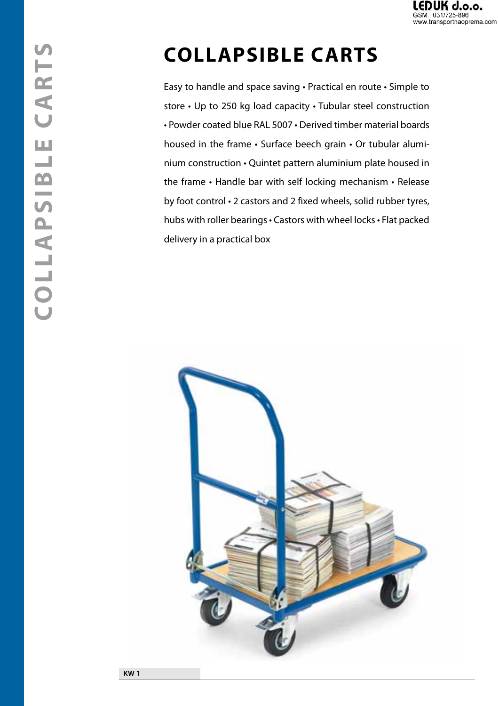

# **Collapsible carts**

Easy to handle and space saving • Practical en route • Simple to store • Up to 250 kg load capacity • Tubular steel construction • Powder coated blue RAL 5007 • Derived timber material boards housed in the frame • Surface beech grain • Or tubular aluminium construction • Quintet pattern aluminium plate housed in the frame • Handle bar with self locking mechanism • Release by foot control • 2 castors and 2 fixed wheels, solid rubber tyres, hubs with roller bearings• Castors with wheel locks• Flat packed delivery in a practical box

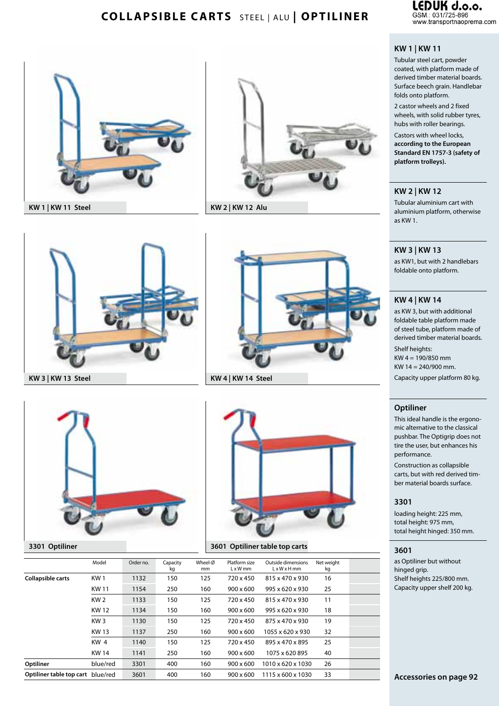

# **COLLAPSIBLE CARTS** STEEL | ALU | OPTILINER SSM: 031/725-896





#### **KW 1 | KW 11**

Tubular steel cart, powder coated, with platform made of derived timber material boards. Surface beech grain. Handlebar folds onto platform.

2 castor wheels and 2 fixed wheels, with solid rubber tyres, hubs with roller bearings.

Castors with wheel locks, **according to the European Standard EN 1757-3 (safety of platform trolleys).** 

#### **KW 2 | KW 12**

Tubular aluminium cart with aluminium platform, otherwise as KW 1.

#### **KW 3 | KW 13**

as KW1, but with 2 handlebars foldable onto platform.

#### **KW 4 | KW 14**

as KW 3, but with additional foldable table platform made of steel tube, platform made of derived timber material boards. Shelf heights: 

KW 4 = 190/850 mm KW 14 = 240/900 mm.

Capacity upper platform 80 kg.

#### **Optiliner**

This ideal handle is the ergonomic alternative to the classical pushbar. The Optigrip does not tire the user, but enhances his performance.

Construction as collapsible carts, but with red derived timber material boards surface. 

#### **3301**

loading height: 225 mm, total height: 975 mm, total height hinged: 350 mm.

#### **3601**

as Optiliner but without hinged grip. Shelf heights 225/800 mm. Capacity upper shelf 200 kg.









|                                   | Model           | Order no. | Capacity<br>kg | Wheel-Ø<br>mm | Platform size<br>$L \times W$ mm | Outside dimensions<br>LxWxHmm | Net weight<br>kg |  |
|-----------------------------------|-----------------|-----------|----------------|---------------|----------------------------------|-------------------------------|------------------|--|
| <b>Collapsible carts</b>          | KW <sub>1</sub> | 1132      | 150            | 125           | 720 x 450                        | 815 x 470 x 930               | 16               |  |
|                                   | <b>KW11</b>     | 1154      | 250            | 160           | $900 \times 600$                 | 995 x 620 x 930               | 25               |  |
|                                   | KW <sub>2</sub> | 1133      | 150            | 125           | 720 x 450                        | 815 x 470 x 930               | 11               |  |
|                                   | <b>KW12</b>     | 1134      | 150            | 160           | $900 \times 600$                 | 995 x 620 x 930               | 18               |  |
|                                   | KW <sub>3</sub> | 1130      | 150            | 125           | 720 x 450                        | 875 x 470 x 930               | 19               |  |
|                                   | <b>KW13</b>     | 1137      | 250            | 160           | $900 \times 600$                 | 1055 x 620 x 930              | 32               |  |
|                                   | KW <sub>4</sub> | 1140      | 150            | 125           | 720 x 450                        | 895 x 470 x 895               | 25               |  |
|                                   | <b>KW14</b>     | 1141      | 250            | 160           | $900 \times 600$                 | 1075 x 620 895                | 40               |  |
| Optiliner                         | blue/red        | 3301      | 400            | 160           | $900 \times 600$                 | 1010 x 620 x 1030             | 26               |  |
| Optiliner table top cart blue/red |                 | 3601      | 400            | 160           | $900 \times 600$                 | 1115 x 600 x 1030             | 33               |  |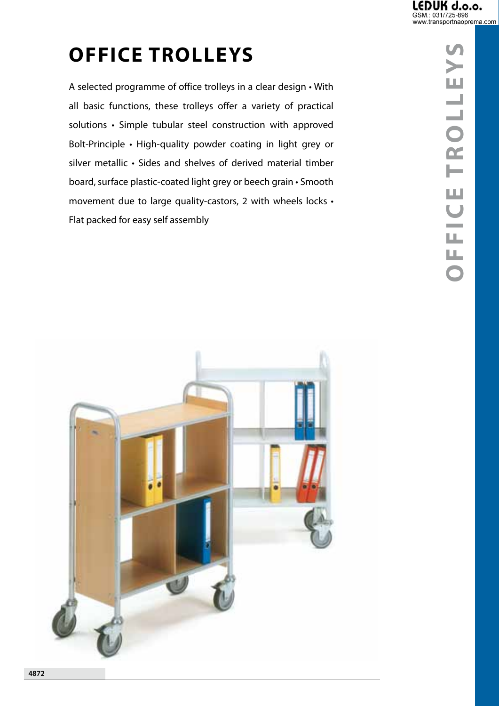# **office trolleys**

A selected programme of office trolleys in a clear design • With all basic functions, these trolleys offer a variety of practical solutions • Simple tubular steel construction with approved Bolt-Principle • High-quality powder coating in light grey or silver metallic • Sides and shelves of derived material timber board, surface plastic-coated light grey or beech grain • Smooth movement due to large quality-castors, 2 with wheels locks • Flat packed for easy self assembly



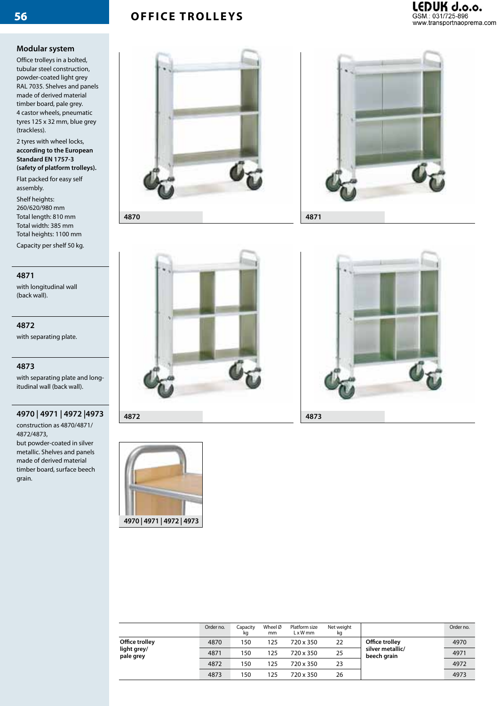# **OFFICE TROLLEYS**

## LEDUK d.o.o.<br>GSM.: 031/725-896 www.transportnaoprema.com

#### **Modular system**

Office trolleys in a bolted, tubular steel construction, powder-coated light grey RAL 7035. Shelves and panels made of derived material timber board, pale grey. 4 castor wheels, pneumatic tyres 125 x 32 mm, blue grey (trackless).

2 tyres with wheel locks, **according to the European Standard EN 1757-3 (safety of platform trolleys).**

Flat packed for easy self assembly.

Shelf heights: 260/620/980 mm Total length: 810 mm Total width: 385 mm Total heights: 1100 mm

Capacity per shelf 50 kg.

#### **4871**

with longitudinal wall (back wall).

**4872** with separating plate.

#### **4873**

with separating plate and longitudinal wall (back wall).

#### **4970 | 4971 | 4972 |4973**

construction as 4870/4871/ 4872/4873, but powder-coated in silver metallic. Shelves and panels made of derived material timber board, surface beech grain.









**4970 | 4971 | 4972 | 4973**



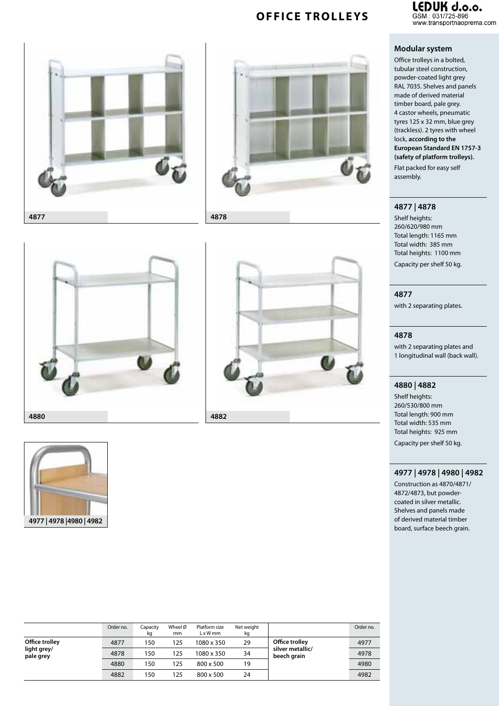### **COUK d.o.o.**<br>
GSM.: 031/725-896<br>
www.transportnaoprema.com GSM.: 031/725-896

# **OFFICE TROLLEYS**











|                                            | Order no. | Capacity<br>kg | Wheel Ø<br>mm | Platform size<br>$L \times W$ mm | Net weight<br>kg |                                 | Order no. |
|--------------------------------------------|-----------|----------------|---------------|----------------------------------|------------------|---------------------------------|-----------|
| Office trolley<br>light grey/<br>pale grey | 4877      | 150            | 125           | 1080 x 350                       | 29               | Office trolley                  | 4977      |
|                                            | 4878      | 150            | 125           | 1080 x 350                       | 34               | silver metallic/<br>beech grain | 4978      |
|                                            | 4880      | 150            | 125           | 800 x 500                        | 19               |                                 | 4980      |
|                                            | 4882      | 150            | 125           | $800 \times 500$                 | 24               |                                 | 4982      |

#### **Modular system**

Office trolleys in a bolted, tubular steel construction, powder-coated light grey RAL 7035. Shelves and panels made of derived material timber board, pale grey. 4 castor wheels, pneumatic tyres 125 x 32 mm, blue grey (trackless). 2 tyres with wheel lock, **according to the European Standard EN 1757-3 (safety of platform trolleys).** 

Flat packed for easy self assembly.

#### **4877 | 4878**

Shelf heights: 260/620/980 mm Total length: 1165 mm Total width: 385 mm Total heights: 1100 mm Capacity per shelf 50 kg.

#### **4877**

with 2 separating plates.

#### **4878**

with 2 separating plates and 1 longitudinal wall (back wall).

#### **4880 | 4882**

Shelf heights: 260/530/800 mm Total length: 900 mm Total width: 535 mm Total heights: 925 mm Capacity per shelf 50 kg.

#### **4977 | 4978 | 4980 | 4982**

Construction as 4870/4871/ 4872/4873, but powdercoated in silver metallic. Shelves and panels made of derived material timber board, surface beech grain.